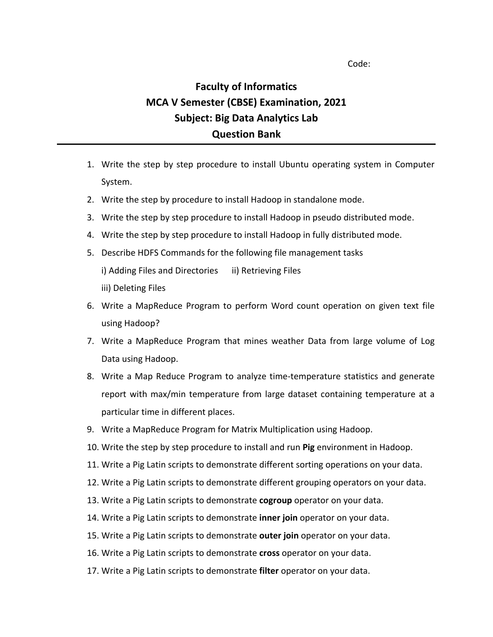Code:

## **Faculty of Informatics MCA V Semester (CBSE) Examination, 2021 Subject: Big Data Analytics Lab Question Bank**

- 1. Write the step by step procedure to install Ubuntu operating system in Computer System.
- 2. Write the step by procedure to install Hadoop in standalone mode.
- 3. Write the step by step procedure to install Hadoop in pseudo distributed mode.
- 4. Write the step by step procedure to install Hadoop in fully distributed mode.
- 5. Describe HDFS Commands for the following file management tasks i) Adding Files and Directories ii) Retrieving Files iii) Deleting Files
- 6. Write a MapReduce Program to perform Word count operation on given text file using Hadoop?
- 7. Write a MapReduce Program that mines weather Data from large volume of Log Data using Hadoop.
- 8. Write a Map Reduce Program to analyze time-temperature statistics and generate report with max/min temperature from large dataset containing temperature at a particular time in different places.
- 9. Write a MapReduce Program for Matrix Multiplication using Hadoop.
- 10. Write the step by step procedure to install and run **Pig** environment in Hadoop.
- 11. Write a Pig Latin scripts to demonstrate different sorting operations on your data.
- 12. Write a Pig Latin scripts to demonstrate different grouping operators on your data.
- 13. Write a Pig Latin scripts to demonstrate **cogroup** operator on your data.
- 14. Write a Pig Latin scripts to demonstrate **inner join** operator on your data.
- 15. Write a Pig Latin scripts to demonstrate **outer join** operator on your data.
- 16. Write a Pig Latin scripts to demonstrate **cross** operator on your data.
- 17. Write a Pig Latin scripts to demonstrate **filter** operator on your data.